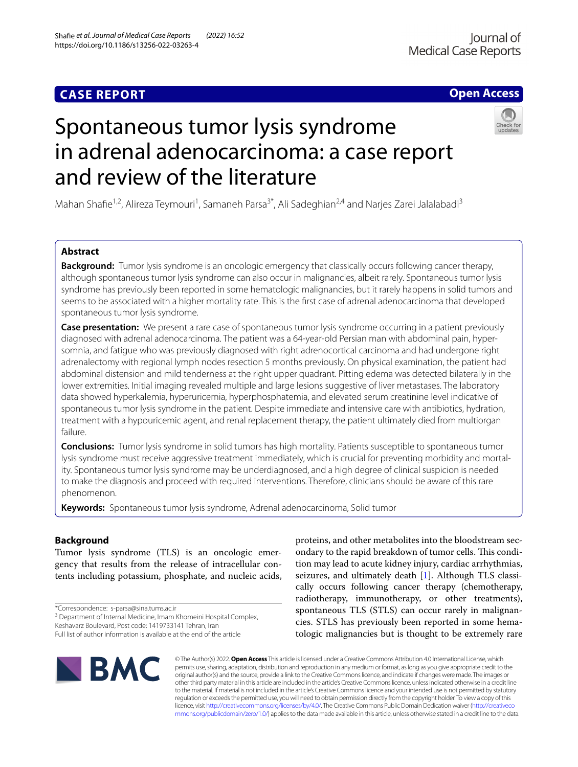# **CASE REPORT**

# **Open Access**



# Spontaneous tumor lysis syndrome in adrenal adenocarcinoma: a case report and review of the literature

Mahan Shafie<sup>1,2</sup>, Alireza Teymouri<sup>1</sup>, Samaneh Parsa<sup>3\*</sup>, Ali Sadeghian<sup>2,4</sup> and Narjes Zarei Jalalabadi<sup>3</sup>

# **Abstract**

**Background:** Tumor lysis syndrome is an oncologic emergency that classically occurs following cancer therapy, although spontaneous tumor lysis syndrome can also occur in malignancies, albeit rarely. Spontaneous tumor lysis syndrome has previously been reported in some hematologic malignancies, but it rarely happens in solid tumors and seems to be associated with a higher mortality rate. This is the frst case of adrenal adenocarcinoma that developed spontaneous tumor lysis syndrome.

**Case presentation:** We present a rare case of spontaneous tumor lysis syndrome occurring in a patient previously diagnosed with adrenal adenocarcinoma. The patient was a 64-year-old Persian man with abdominal pain, hypersomnia, and fatigue who was previously diagnosed with right adrenocortical carcinoma and had undergone right adrenalectomy with regional lymph nodes resection 5 months previously. On physical examination, the patient had abdominal distension and mild tenderness at the right upper quadrant. Pitting edema was detected bilaterally in the lower extremities. Initial imaging revealed multiple and large lesions suggestive of liver metastases. The laboratory data showed hyperkalemia, hyperuricemia, hyperphosphatemia, and elevated serum creatinine level indicative of spontaneous tumor lysis syndrome in the patient. Despite immediate and intensive care with antibiotics, hydration, treatment with a hypouricemic agent, and renal replacement therapy, the patient ultimately died from multiorgan failure.

**Conclusions:** Tumor lysis syndrome in solid tumors has high mortality. Patients susceptible to spontaneous tumor lysis syndrome must receive aggressive treatment immediately, which is crucial for preventing morbidity and mortality. Spontaneous tumor lysis syndrome may be underdiagnosed, and a high degree of clinical suspicion is needed to make the diagnosis and proceed with required interventions. Therefore, clinicians should be aware of this rare phenomenon.

**Keywords:** Spontaneous tumor lysis syndrome, Adrenal adenocarcinoma, Solid tumor

# **Background**

Tumor lysis syndrome (TLS) is an oncologic emergency that results from the release of intracellular contents including potassium, phosphate, and nucleic acids,

\*Correspondence: s-parsa@sina.tums.ac.ir

<sup>3</sup> Department of Internal Medicine, Imam Khomeini Hospital Complex,

Keshavarz Boulevard, Post code: 1419733141 Tehran, Iran

Full list of author information is available at the end of the article

proteins, and other metabolites into the bloodstream secondary to the rapid breakdown of tumor cells. This condition may lead to acute kidney injury, cardiac arrhythmias, seizures, and ultimately death [\[1](#page-3-0)]. Although TLS classically occurs following cancer therapy (chemotherapy, radiotherapy, immunotherapy, or other treatments), spontaneous TLS (STLS) can occur rarely in malignancies. STLS has previously been reported in some hematologic malignancies but is thought to be extremely rare



© The Author(s) 2022. **Open Access** This article is licensed under a Creative Commons Attribution 4.0 International License, which permits use, sharing, adaptation, distribution and reproduction in any medium or format, as long as you give appropriate credit to the original author(s) and the source, provide a link to the Creative Commons licence, and indicate if changes were made. The images or other third party material in this article are included in the article's Creative Commons licence, unless indicated otherwise in a credit line to the material. If material is not included in the article's Creative Commons licence and your intended use is not permitted by statutory regulation or exceeds the permitted use, you will need to obtain permission directly from the copyright holder. To view a copy of this licence, visit [http://creativecommons.org/licenses/by/4.0/.](http://creativecommons.org/licenses/by/4.0/) The Creative Commons Public Domain Dedication waiver ([http://creativeco](http://creativecommons.org/publicdomain/zero/1.0/) [mmons.org/publicdomain/zero/1.0/](http://creativecommons.org/publicdomain/zero/1.0/)) applies to the data made available in this article, unless otherwise stated in a credit line to the data.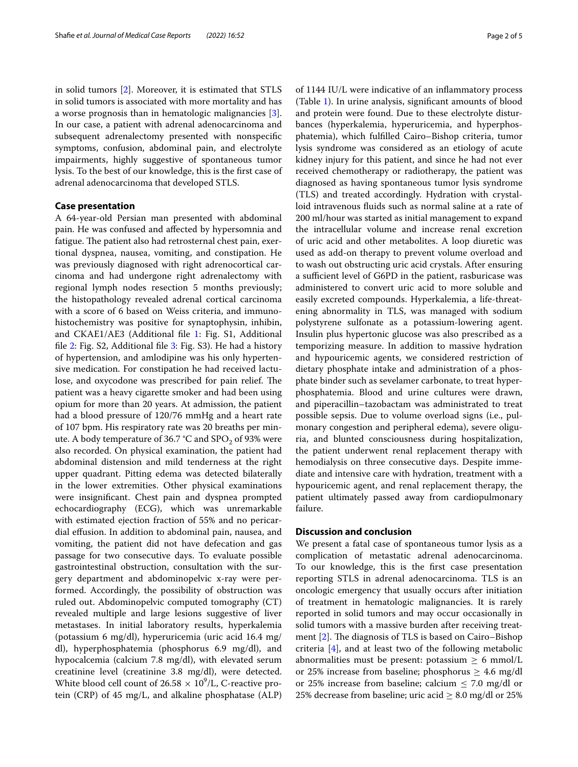in solid tumors [\[2](#page-3-1)]. Moreover, it is estimated that STLS in solid tumors is associated with more mortality and has a worse prognosis than in hematologic malignancies [\[3](#page-3-2)]. In our case, a patient with adrenal adenocarcinoma and subsequent adrenalectomy presented with nonspecifc symptoms, confusion, abdominal pain, and electrolyte impairments, highly suggestive of spontaneous tumor lysis. To the best of our knowledge, this is the frst case of adrenal adenocarcinoma that developed STLS.

## **Case presentation**

A 64-year-old Persian man presented with abdominal pain. He was confused and afected by hypersomnia and fatigue. The patient also had retrosternal chest pain, exertional dyspnea, nausea, vomiting, and constipation. He was previously diagnosed with right adrenocortical carcinoma and had undergone right adrenalectomy with regional lymph nodes resection 5 months previously; the histopathology revealed adrenal cortical carcinoma with a score of 6 based on Weiss criteria, and immunohistochemistry was positive for synaptophysin, inhibin, and CKAE1/AE3 (Additional fle [1](#page-3-3): Fig. S1, Additional fle [2:](#page-3-4) Fig. S2, Additional fle [3:](#page-3-5) Fig. S3). He had a history of hypertension, and amlodipine was his only hypertensive medication. For constipation he had received lactulose, and oxycodone was prescribed for pain relief. The patient was a heavy cigarette smoker and had been using opium for more than 20 years. At admission, the patient had a blood pressure of 120/76 mmHg and a heart rate of 107 bpm. His respiratory rate was 20 breaths per minute. A body temperature of 36.7 °C and  $SPO<sub>2</sub>$  of 93% were also recorded. On physical examination, the patient had abdominal distension and mild tenderness at the right upper quadrant. Pitting edema was detected bilaterally in the lower extremities. Other physical examinations were insignifcant. Chest pain and dyspnea prompted echocardiography (ECG), which was unremarkable with estimated ejection fraction of 55% and no pericardial efusion. In addition to abdominal pain, nausea, and vomiting, the patient did not have defecation and gas passage for two consecutive days. To evaluate possible gastrointestinal obstruction, consultation with the surgery department and abdominopelvic x-ray were performed. Accordingly, the possibility of obstruction was ruled out. Abdominopelvic computed tomography (CT) revealed multiple and large lesions suggestive of liver metastases. In initial laboratory results, hyperkalemia (potassium 6 mg/dl), hyperuricemia (uric acid 16.4 mg/ dl), hyperphosphatemia (phosphorus 6.9 mg/dl), and hypocalcemia (calcium 7.8 mg/dl), with elevated serum creatinine level (creatinine 3.8 mg/dl), were detected. White blood cell count of  $26.58 \times 10^9$ /L, C-reactive protein (CRP) of 45 mg/L, and alkaline phosphatase (ALP) of 1144 IU/L were indicative of an infammatory process (Table [1](#page-2-0)). In urine analysis, signifcant amounts of blood and protein were found. Due to these electrolyte disturbances (hyperkalemia, hyperuricemia, and hyperphosphatemia), which fulflled Cairo–Bishop criteria, tumor lysis syndrome was considered as an etiology of acute kidney injury for this patient, and since he had not ever received chemotherapy or radiotherapy, the patient was diagnosed as having spontaneous tumor lysis syndrome (TLS) and treated accordingly. Hydration with crystalloid intravenous fuids such as normal saline at a rate of 200 ml/hour was started as initial management to expand the intracellular volume and increase renal excretion of uric acid and other metabolites. A loop diuretic was used as add-on therapy to prevent volume overload and to wash out obstructing uric acid crystals. After ensuring a sufficient level of G6PD in the patient, rasburicase was administered to convert uric acid to more soluble and easily excreted compounds. Hyperkalemia, a life-threatening abnormality in TLS, was managed with sodium polystyrene sulfonate as a potassium-lowering agent. Insulin plus hypertonic glucose was also prescribed as a temporizing measure. In addition to massive hydration and hypouricemic agents, we considered restriction of dietary phosphate intake and administration of a phosphate binder such as sevelamer carbonate, to treat hyperphosphatemia. Blood and urine cultures were drawn, and piperacillin–tazobactam was administrated to treat possible sepsis. Due to volume overload signs (i.e., pulmonary congestion and peripheral edema), severe oliguria, and blunted consciousness during hospitalization, the patient underwent renal replacement therapy with hemodialysis on three consecutive days. Despite immediate and intensive care with hydration, treatment with a hypouricemic agent, and renal replacement therapy, the patient ultimately passed away from cardiopulmonary failure.

#### **Discussion and conclusion**

We present a fatal case of spontaneous tumor lysis as a complication of metastatic adrenal adenocarcinoma. To our knowledge, this is the frst case presentation reporting STLS in adrenal adenocarcinoma. TLS is an oncologic emergency that usually occurs after initiation of treatment in hematologic malignancies. It is rarely reported in solid tumors and may occur occasionally in solid tumors with a massive burden after receiving treat-ment [[2\]](#page-3-1). The diagnosis of TLS is based on Cairo–Bishop criteria [\[4](#page-3-6)], and at least two of the following metabolic abnormalities must be present: potassium  $\geq 6$  mmol/L or 25% increase from baseline; phosphorus  $\geq 4.6$  mg/dl or 25% increase from baseline; calcium  $\leq$  7.0 mg/dl or 25% decrease from baseline; uric acid  $\geq 8.0$  mg/dl or 25%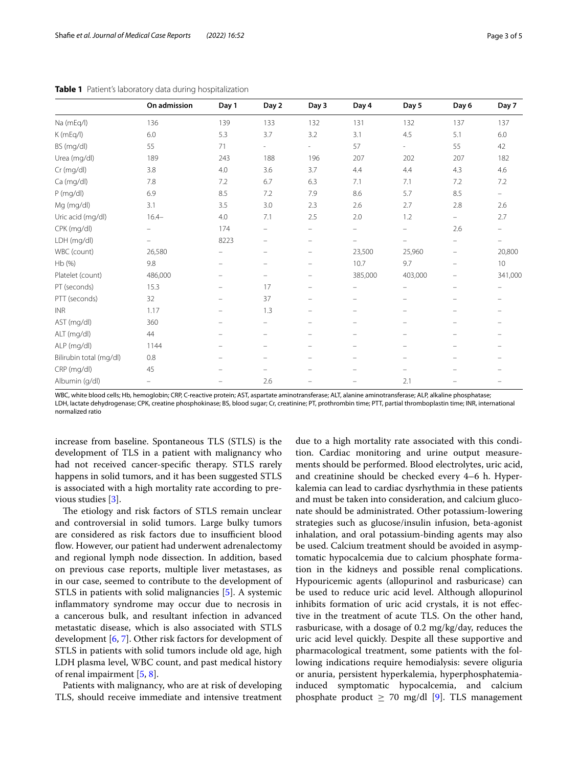|                         | On admission             | Day 1                    | Day 2                    | Day 3                          | Day 4                          | Day 5                    | Day 6                          | Day 7                    |
|-------------------------|--------------------------|--------------------------|--------------------------|--------------------------------|--------------------------------|--------------------------|--------------------------------|--------------------------|
| Na (mEq/l)              | 136                      | 139                      | 133                      | 132                            | 131                            | 132                      | 137                            | 137                      |
| K(mEq/I)                | 6.0                      | 5.3                      | 3.7                      | 3.2                            | 3.1                            | 4.5                      | 5.1                            | 6.0                      |
| BS (mg/dl)              | 55                       | 71                       | $\overline{\phantom{0}}$ | $\overline{\phantom{a}}$       | 57                             | $\overline{\phantom{a}}$ | 55                             | 42                       |
| Urea (mg/dl)            | 189                      | 243                      | 188                      | 196                            | 207                            | 202                      | 207                            | 182                      |
| Cr (mg/dl)              | 3.8                      | 4.0                      | 3.6                      | 3.7                            | 4.4                            | 4.4                      | 4.3                            | 4.6                      |
| Ca (mg/dl)              | 7.8                      | 7.2                      | 6.7                      | 6.3                            | 7.1                            | 7.1                      | 7.2                            | 7.2                      |
| $P$ (mg/dl)             | 6.9                      | 8.5                      | 7.2                      | 7.9                            | 8.6                            | 5.7                      | 8.5                            | $\overline{\phantom{a}}$ |
| Mg (mg/dl)              | 3.1                      | 3.5                      | 3.0                      | 2.3                            | 2.6                            | 2.7                      | 2.8                            | 2.6                      |
| Uric acid (mg/dl)       | $16.4 -$                 | 4.0                      | 7.1                      | 2.5                            | 2.0                            | 1.2                      | $\overline{\phantom{0}}$       | 2.7                      |
| CPK (mg/dl)             | $\overline{\phantom{0}}$ | 174                      | -                        | $\equiv$                       | $\qquad \qquad \longleftarrow$ | -                        | 2.6                            | -                        |
| LDH (mg/dl)             |                          | 8223                     | $\equiv$                 | $\equiv$                       | $\qquad \qquad -$              | $\overline{\phantom{0}}$ | -                              |                          |
| WBC (count)             | 26,580                   |                          |                          | $\overline{\phantom{m}}$       | 23,500                         | 25,960                   | -                              | 20,800                   |
| Hb (%)                  | 9.8                      |                          | -                        | $\qquad \qquad \longleftarrow$ | 10.7                           | 9.7                      | -                              | 10                       |
| Platelet (count)        | 486,000                  |                          |                          | -                              | 385,000                        | 403,000                  | -                              | 341,000                  |
| PT (seconds)            | 15.3                     |                          | 17                       | $\equiv$                       | $\qquad \qquad -$              | $\overline{\phantom{0}}$ | $\equiv$                       |                          |
| PTT (seconds)           | 32                       |                          | 37                       |                                | $\overline{\phantom{0}}$       | -                        | -                              |                          |
| <b>INR</b>              | 1.17                     |                          | 1.3                      |                                | $\qquad \qquad \longleftarrow$ | -                        | -                              |                          |
| AST (mg/dl)             | 360                      | $\overline{\phantom{m}}$ | $\overline{\phantom{a}}$ | $\overline{\phantom{m}}$       | $\qquad \qquad -$              | $\qquad \qquad -$        | $\qquad \qquad -$              | $\overline{\phantom{m}}$ |
| ALT (mg/dl)             | 44                       |                          | $\overline{\phantom{0}}$ |                                | $\qquad \qquad -$              | $\overline{\phantom{0}}$ | $\equiv$                       | -                        |
| ALP (mg/dl)             | 1144                     | $\overline{\phantom{m}}$ | $\qquad \qquad -$        | $\qquad \qquad \longleftarrow$ | $\qquad \qquad -$              | $\qquad \qquad -$        | $\qquad \qquad \longleftarrow$ | -                        |
| Bilirubin total (mg/dl) | $0.8\,$                  |                          |                          |                                | $\qquad \qquad \longleftarrow$ | -                        |                                |                          |
| CRP (mg/dl)             | 45                       | $\overline{\phantom{m}}$ |                          |                                | $\overline{\phantom{0}}$       | $\overline{\phantom{0}}$ | $\equiv$                       | $\equiv$                 |
| Albumin (g/dl)          | $\overline{\phantom{0}}$ | $\overline{\phantom{0}}$ | 2.6                      |                                |                                | 2.1                      |                                | $\equiv$                 |

<span id="page-2-0"></span>**Table 1** Patient's laboratory data during hospitalization

WBC, white blood cells; Hb, hemoglobin; CRP, C-reactive protein; AST, aspartate aminotransferase; ALT, alanine aminotransferase; ALP, alkaline phosphatase; LDH, lactate dehydrogenase; CPK, creatine phosphokinase; BS, blood sugar; Cr, creatinine; PT, prothrombin time; PTT, partial thromboplastin time; INR, international normalized ratio

increase from baseline. Spontaneous TLS (STLS) is the development of TLS in a patient with malignancy who had not received cancer-specifc therapy. STLS rarely happens in solid tumors, and it has been suggested STLS is associated with a high mortality rate according to previous studies [[3\]](#page-3-2).

The etiology and risk factors of STLS remain unclear and controversial in solid tumors. Large bulky tumors are considered as risk factors due to insufficient blood flow. However, our patient had underwent adrenalectomy and regional lymph node dissection. In addition, based on previous case reports, multiple liver metastases, as in our case, seemed to contribute to the development of STLS in patients with solid malignancies [\[5](#page-3-7)]. A systemic infammatory syndrome may occur due to necrosis in a cancerous bulk, and resultant infection in advanced metastatic disease, which is also associated with STLS development [\[6](#page-4-0), [7\]](#page-4-1). Other risk factors for development of STLS in patients with solid tumors include old age, high LDH plasma level, WBC count, and past medical history of renal impairment [[5,](#page-3-7) [8](#page-4-2)].

Patients with malignancy, who are at risk of developing TLS, should receive immediate and intensive treatment

due to a high mortality rate associated with this condition. Cardiac monitoring and urine output measurements should be performed. Blood electrolytes, uric acid, and creatinine should be checked every 4–6 h. Hyperkalemia can lead to cardiac dysrhythmia in these patients and must be taken into consideration, and calcium gluconate should be administrated. Other potassium-lowering strategies such as glucose/insulin infusion, beta-agonist inhalation, and oral potassium-binding agents may also be used. Calcium treatment should be avoided in asymptomatic hypocalcemia due to calcium phosphate formation in the kidneys and possible renal complications. Hypouricemic agents (allopurinol and rasburicase) can be used to reduce uric acid level. Although allopurinol inhibits formation of uric acid crystals, it is not efective in the treatment of acute TLS. On the other hand, rasburicase, with a dosage of 0.2 mg/kg/day, reduces the uric acid level quickly. Despite all these supportive and pharmacological treatment, some patients with the following indications require hemodialysis: severe oliguria or anuria, persistent hyperkalemia, hyperphosphatemiainduced symptomatic hypocalcemia, and calcium phosphate product  $\geq$  70 mg/dl [\[9](#page-4-3)]. TLS management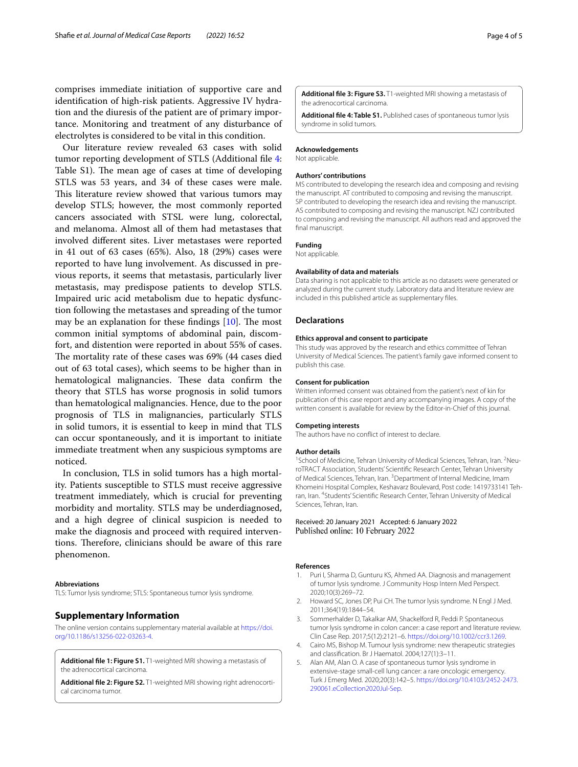comprises immediate initiation of supportive care and identifcation of high-risk patients. Aggressive IV hydration and the diuresis of the patient are of primary importance. Monitoring and treatment of any disturbance of electrolytes is considered to be vital in this condition.

Our literature review revealed 63 cases with solid tumor reporting development of STLS (Additional fle [4](#page-3-8): Table S1). The mean age of cases at time of developing STLS was 53 years, and 34 of these cases were male. This literature review showed that various tumors may develop STLS; however, the most commonly reported cancers associated with STSL were lung, colorectal, and melanoma. Almost all of them had metastases that involved diferent sites. Liver metastases were reported in 41 out of 63 cases (65%). Also, 18 (29%) cases were reported to have lung involvement. As discussed in previous reports, it seems that metastasis, particularly liver metastasis, may predispose patients to develop STLS. Impaired uric acid metabolism due to hepatic dysfunction following the metastases and spreading of the tumor may be an explanation for these findings  $[10]$  $[10]$ . The most common initial symptoms of abdominal pain, discomfort, and distention were reported in about 55% of cases. The mortality rate of these cases was 69% (44 cases died out of 63 total cases), which seems to be higher than in hematological malignancies. These data confirm the theory that STLS has worse prognosis in solid tumors than hematological malignancies. Hence, due to the poor prognosis of TLS in malignancies, particularly STLS in solid tumors, it is essential to keep in mind that TLS can occur spontaneously, and it is important to initiate immediate treatment when any suspicious symptoms are noticed.

In conclusion, TLS in solid tumors has a high mortality. Patients susceptible to STLS must receive aggressive treatment immediately, which is crucial for preventing morbidity and mortality. STLS may be underdiagnosed, and a high degree of clinical suspicion is needed to make the diagnosis and proceed with required interventions. Therefore, clinicians should be aware of this rare phenomenon.

#### **Abbreviations**

TLS: Tumor lysis syndrome; STLS: Spontaneous tumor lysis syndrome.

## **Supplementary Information**

The online version contains supplementary material available at [https://doi.](https://doi.org/10.1186/s13256-022-03263-4) [org/10.1186/s13256-022-03263-4](https://doi.org/10.1186/s13256-022-03263-4).

<span id="page-3-4"></span><span id="page-3-3"></span>**Additional fle 1: Figure S1.** T1-weighted MRI showing a metastasis of the adrenocortical carcinoma.

<span id="page-3-5"></span>**Additional fle 2: Figure S2.** T1-weighted MRI showing right adrenocortical carcinoma tumor.

<span id="page-3-8"></span>**Additional fle 3: Figure S3.** T1-weighted MRI showing a metastasis of the adrenocortical carcinoma.

**Additional fle 4: Table S1.** Published cases of spontaneous tumor lysis syndrome in solid tumors.

#### **Acknowledgements**

Not applicable.

#### **Authors' contributions**

MS contributed to developing the research idea and composing and revising the manuscript. AT contributed to composing and revising the manuscript. SP contributed to developing the research idea and revising the manuscript. AS contributed to composing and revising the manuscript. NZJ contributed to composing and revising the manuscript. All authors read and approved the fnal manuscript.

## **Funding**

Not applicable.

#### **Availability of data and materials**

Data sharing is not applicable to this article as no datasets were generated or analyzed during the current study. Laboratory data and literature review are included in this published article as supplementary fles.

#### **Declarations**

#### **Ethics approval and consent to participate**

This study was approved by the research and ethics committee of Tehran University of Medical Sciences. The patient's family gave informed consent to publish this case.

#### **Consent for publication**

Written informed consent was obtained from the patient's next of kin for publication of this case report and any accompanying images. A copy of the written consent is available for review by the Editor-in-Chief of this journal.

#### **Competing interests**

The authors have no confict of interest to declare.

#### **Author details**

<sup>1</sup> School of Medicine, Tehran University of Medical Sciences, Tehran, Iran. <sup>2</sup> NeuroTRACT Association, Students' Scientifc Research Center, Tehran University of Medical Sciences, Tehran, Iran. <sup>3</sup> Department of Internal Medicine, Imam Khomeini Hospital Complex, Keshavarz Boulevard, Post code: 1419733141 Tehran, Iran. <sup>4</sup>Students' Scientific Research Center, Tehran University of Medical Sciences, Tehran, Iran.

#### Received: 20 January 2021 Accepted: 6 January 2022 Published online: 10 February 2022

#### **References**

- <span id="page-3-0"></span>1. Puri I, Sharma D, Gunturu KS, Ahmed AA. Diagnosis and management of tumor lysis syndrome. J Community Hosp Intern Med Perspect. 2020;10(3):269–72.
- <span id="page-3-1"></span>2. Howard SC, Jones DP, Pui CH. The tumor lysis syndrome. N Engl J Med. 2011;364(19):1844–54.
- <span id="page-3-2"></span>3. Sommerhalder D, Takalkar AM, Shackelford R, Peddi P. Spontaneous tumor lysis syndrome in colon cancer: a case report and literature review. Clin Case Rep. 2017;5(12):2121–6. [https://doi.org/10.1002/ccr3.1269.](https://doi.org/10.1002/ccr3.1269)
- <span id="page-3-6"></span>4. Cairo MS, Bishop M. Tumour lysis syndrome: new therapeutic strategies and classifcation. Br J Haematol. 2004;127(1):3–11.
- <span id="page-3-7"></span>5. Alan AM, Alan O. A case of spontaneous tumor lysis syndrome in extensive-stage small-cell lung cancer: a rare oncologic emergency. Turk J Emerg Med. 2020;20(3):142–5. [https://doi.org/10.4103/2452-2473.](https://doi.org/10.4103/2452-2473.290061.eCollection2020Jul-Sep) [290061.eCollection2020Jul-Sep](https://doi.org/10.4103/2452-2473.290061.eCollection2020Jul-Sep).